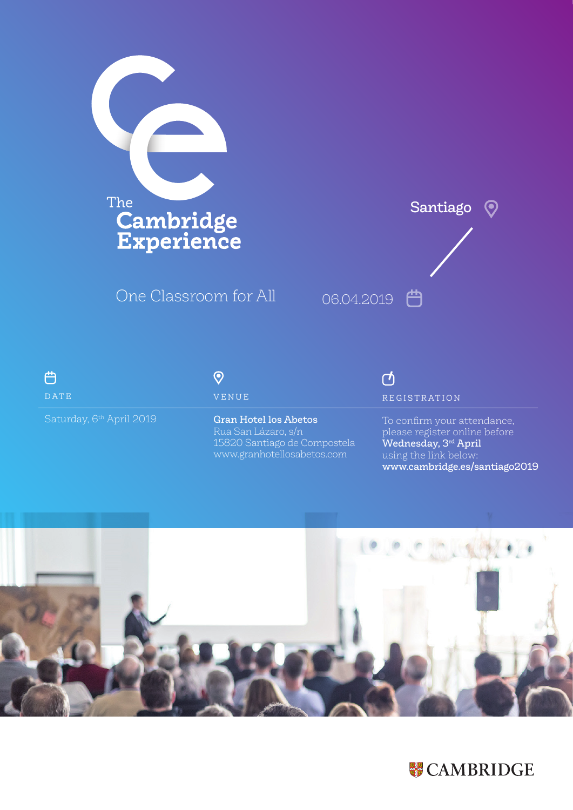

One Classroom for All



| ി                        |  |
|--------------------------|--|
| DATE                     |  |
| Saturday, 6th April 2019 |  |

## $\odot$ VENUE

Gran Hotel los Abetos 15820 Santiago de Compostela www.granhotellosabetos.com

## ඦ REGISTRATION

To confirm your attendance, please register online before Wednesday, 3rd April using the link below: www.cambridge.es/santiago2019



## **W** CAMBRIDGE